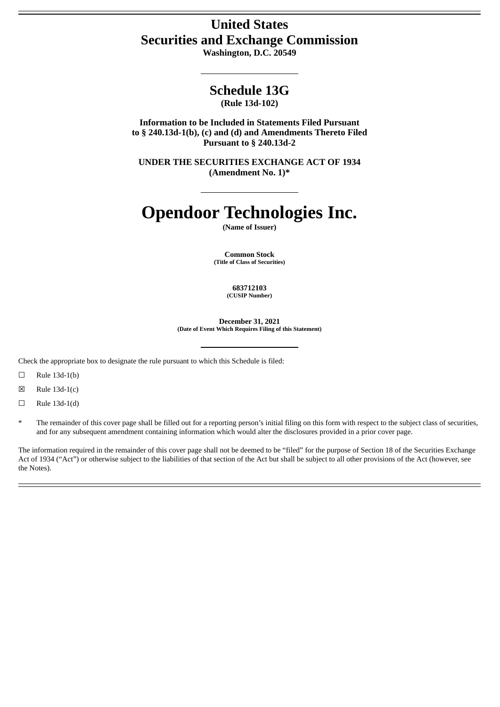# **United States Securities and Exchange Commission**

**Washington, D.C. 20549**

# **Schedule 13G**

**(Rule 13d-102)**

**Information to be Included in Statements Filed Pursuant to § 240.13d-1(b), (c) and (d) and Amendments Thereto Filed Pursuant to § 240.13d-2**

**UNDER THE SECURITIES EXCHANGE ACT OF 1934 (Amendment No. 1)\***

# **Opendoor Technologies Inc.**

**(Name of Issuer)**

**Common Stock (Title of Class of Securities)**

> **683712103 (CUSIP Number)**

**December 31, 2021 (Date of Event Which Requires Filing of this Statement)**

Check the appropriate box to designate the rule pursuant to which this Schedule is filed:

 $\Box$  Rule 13d-1(b)

 $\boxtimes$  Rule 13d-1(c)

 $\Box$  Rule 13d-1(d)

The remainder of this cover page shall be filled out for a reporting person's initial filing on this form with respect to the subject class of securities, and for any subsequent amendment containing information which would alter the disclosures provided in a prior cover page.

The information required in the remainder of this cover page shall not be deemed to be "filed" for the purpose of Section 18 of the Securities Exchange Act of 1934 ("Act") or otherwise subject to the liabilities of that section of the Act but shall be subject to all other provisions of the Act (however, see the Notes).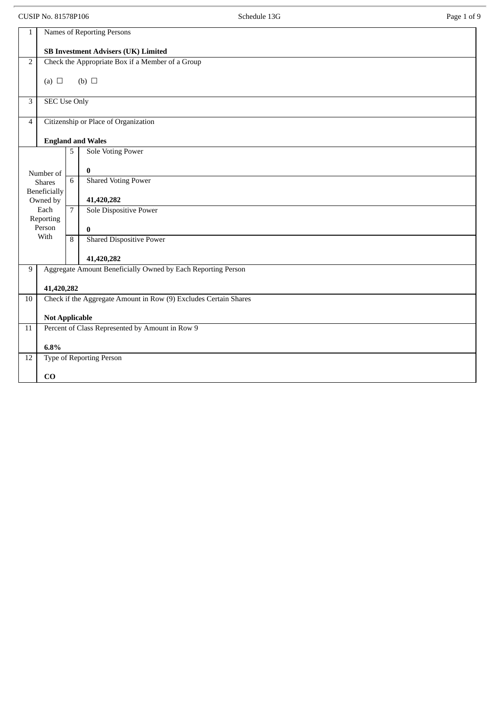CUSIP No. 81578P106 Page 1 of 9 1 Names of Reporting Persons **SB Investment Advisers (UK) Limited** 2 Check the Appropriate Box if a Member of a Group (a)  $\Box$  (b)  $\Box$ 3 SEC Use Only 4 Citizenship or Place of Organization **England and Wales** Number of Shares Beneficially Owned by Each Reporting Person With 5 Sole Voting Power **0** 6 Shared Voting Power **41,420,282** 7 Sole Dispositive Power **0** 8 Shared Dispositive Power **41,420,282** 9 | Aggregate Amount Beneficially Owned by Each Reporting Person **41,420,282** 10 Check if the Aggregate Amount in Row (9) Excludes Certain Shares **Not Applicable** 11 Percent of Class Represented by Amount in Row 9 **6.8%** 12 Type of Reporting Person **CO**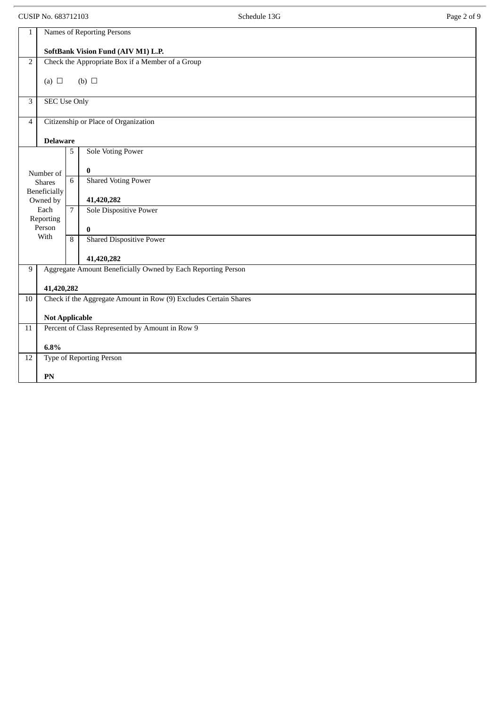CUSIP No. 683712103 Page 2 of 9 1 Names of Reporting Persons **SoftBank Vision Fund (AIV M1) L.P.** 2 Check the Appropriate Box if a Member of a Group (a)  $\Box$  (b)  $\Box$ 3 SEC Use Only 4 Citizenship or Place of Organization **Delaware** Number of Shares Beneficially Owned by Each Reporting Person With 5 Sole Voting Power **0** 6 Shared Voting Power **41,420,282** 7 Sole Dispositive Power **0** 8 Shared Dispositive Power **41,420,282** 9 | Aggregate Amount Beneficially Owned by Each Reporting Person **41,420,282** 10 Check if the Aggregate Amount in Row (9) Excludes Certain Shares **Not Applicable** 11 Percent of Class Represented by Amount in Row 9 **6.8%** 12 Type of Reporting Person **PN**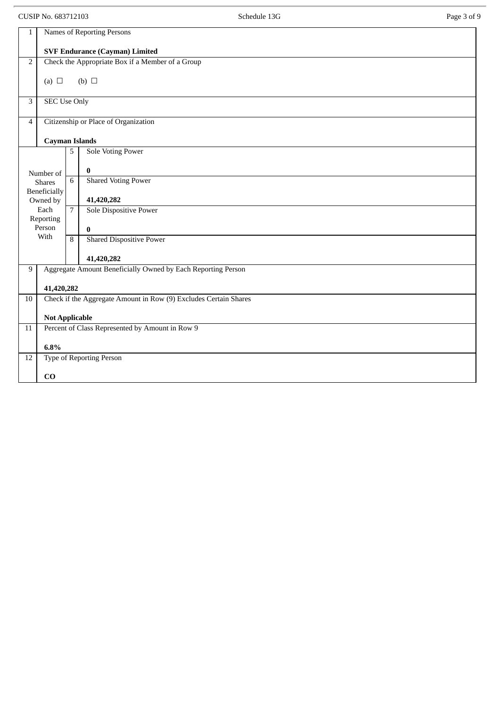CUSIP No. 683712103 Page 3 of 9 1 Names of Reporting Persons **SVF Endurance (Cayman) Limited** 2 Check the Appropriate Box if a Member of a Group (a)  $\Box$  (b)  $\Box$ 3 SEC Use Only 4 Citizenship or Place of Organization **Cayman Islands** Number of Shares Beneficially Owned by Each Reporting Person With 5 Sole Voting Power **0** 6 Shared Voting Power **41,420,282** 7 Sole Dispositive Power **0** 8 Shared Dispositive Power **41,420,282** 9 | Aggregate Amount Beneficially Owned by Each Reporting Person **41,420,282** 10 Check if the Aggregate Amount in Row (9) Excludes Certain Shares **Not Applicable** 11 Percent of Class Represented by Amount in Row 9 **6.8%** 12 Type of Reporting Person **CO**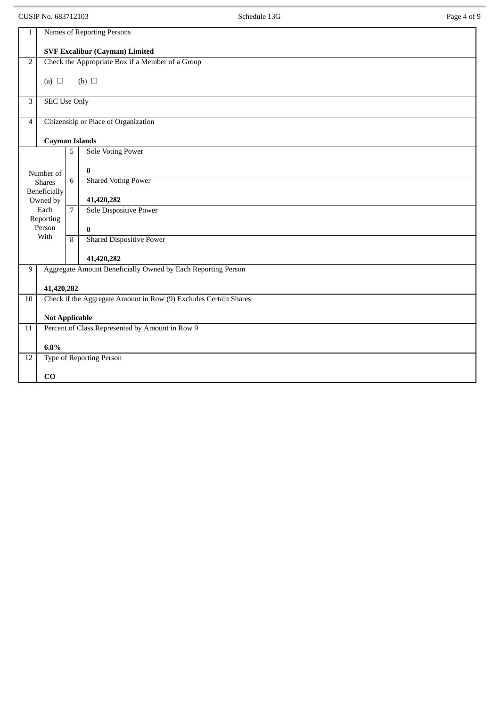CUSIP No. 683712103 Page 4 of 9 1 Names of Reporting Persons **SVF Excalibur (Cayman) Limited** 2 Check the Appropriate Box if a Member of a Group (a)  $\Box$  (b)  $\Box$ 3 SEC Use Only 4 Citizenship or Place of Organization **Cayman Islands** Number of Shares Beneficially Owned by Each Reporting Person With 5 Sole Voting Power **0** 6 Shared Voting Power **41,420,282** 7 Sole Dispositive Power **0** 8 Shared Dispositive Power **41,420,282** 9 | Aggregate Amount Beneficially Owned by Each Reporting Person **41,420,282** 10 Check if the Aggregate Amount in Row (9) Excludes Certain Shares **Not Applicable** 11 Percent of Class Represented by Amount in Row 9 **6.8%** 12 Type of Reporting Person **CO**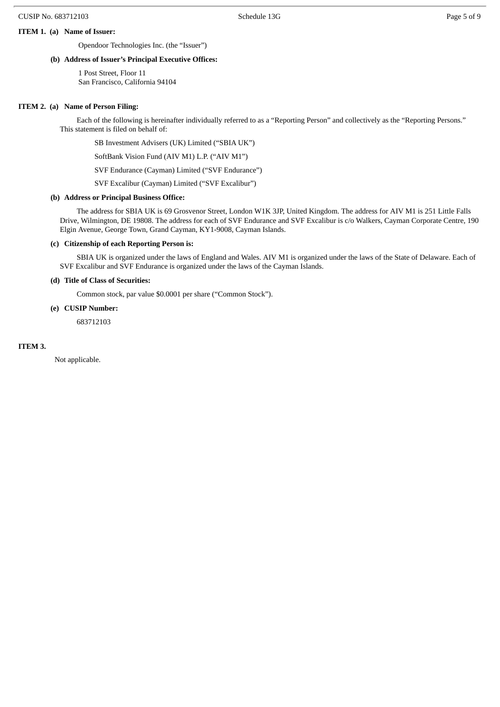#### **ITEM 1. (a) Name of Issuer:**

Opendoor Technologies Inc. (the "Issuer")

#### **(b) Address of Issuer's Principal Executive Offices:**

1 Post Street, Floor 11 San Francisco, California 94104

#### **ITEM 2. (a) Name of Person Filing:**

Each of the following is hereinafter individually referred to as a "Reporting Person" and collectively as the "Reporting Persons." This statement is filed on behalf of:

SB Investment Advisers (UK) Limited ("SBIA UK")

SoftBank Vision Fund (AIV M1) L.P. ("AIV M1")

SVF Endurance (Cayman) Limited ("SVF Endurance")

SVF Excalibur (Cayman) Limited ("SVF Excalibur")

#### **(b) Address or Principal Business Office:**

The address for SBIA UK is 69 Grosvenor Street, London W1K 3JP, United Kingdom. The address for AIV M1 is 251 Little Falls Drive, Wilmington, DE 19808. The address for each of SVF Endurance and SVF Excalibur is c/o Walkers, Cayman Corporate Centre, 190 Elgin Avenue, George Town, Grand Cayman, KY1-9008, Cayman Islands.

#### **(c) Citizenship of each Reporting Person is:**

SBIA UK is organized under the laws of England and Wales. AIV M1 is organized under the laws of the State of Delaware. Each of SVF Excalibur and SVF Endurance is organized under the laws of the Cayman Islands.

#### **(d) Title of Class of Securities:**

Common stock, par value \$0.0001 per share ("Common Stock").

#### **(e) CUSIP Number:**

683712103

#### **ITEM 3.**

Not applicable.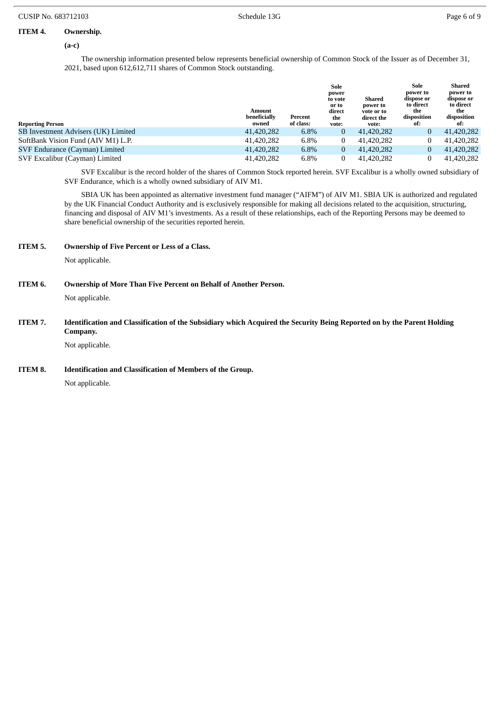#### **ITEM 4. Ownership.**

**(a-c)**

The ownership information presented below represents beneficial ownership of Common Stock of the Issuer as of December 31, 2021, based upon 612,612,711 shares of Common Stock outstanding.

| <b>Reporting Person</b>             | Amount<br>beneficially<br>owned | Percent<br>of class: | Sole<br>power<br>to vote<br>or to<br>direct<br>the<br>vote: | Shared<br>power to<br>vote or to<br>direct the<br>vote: | Sole<br>power to<br>dispose or<br>to direct<br>the<br>disposition<br>of: | Shared<br>power to<br>dispose or<br>to direct<br>the<br>disposition<br>of: |
|-------------------------------------|---------------------------------|----------------------|-------------------------------------------------------------|---------------------------------------------------------|--------------------------------------------------------------------------|----------------------------------------------------------------------------|
| SB Investment Advisers (UK) Limited | 41,420,282                      | $6.8\%$              | $\overline{0}$                                              | 41,420,282                                              | 0                                                                        | 41,420,282                                                                 |
| SoftBank Vision Fund (AIV M1) L.P.  | 41,420,282                      | 6.8%                 | $\bf{0}$                                                    | 41,420,282                                              |                                                                          | 41,420,282                                                                 |
| SVF Endurance (Cayman) Limited      | 41,420,282                      | 6.8%                 | $\overline{0}$                                              | 41,420,282                                              | 0                                                                        | 41,420,282                                                                 |
| SVF Excalibur (Cayman) Limited      | 41,420,282                      | 6.8%                 | 0                                                           | 41.420.282                                              |                                                                          | 41,420,282                                                                 |

SVF Excalibur is the record holder of the shares of Common Stock reported herein. SVF Excalibur is a wholly owned subsidiary of SVF Endurance, which is a wholly owned subsidiary of AIV M1.

SBIA UK has been appointed as alternative investment fund manager ("AIFM") of AIV M1. SBIA UK is authorized and regulated by the UK Financial Conduct Authority and is exclusively responsible for making all decisions related to the acquisition, structuring, financing and disposal of AIV M1's investments. As a result of these relationships, each of the Reporting Persons may be deemed to share beneficial ownership of the securities reported herein.

**ITEM 5. Ownership of Five Percent or Less of a Class.**

Not applicable.

**ITEM 6. Ownership of More Than Five Percent on Behalf of Another Person.**

Not applicable.

ITEM 7. Identification and Classification of the Subsidiary which Acquired the Security Being Reported on by the Parent Holding **Company.**

Not applicable.

**ITEM 8. Identification and Classification of Members of the Group.**

Not applicable.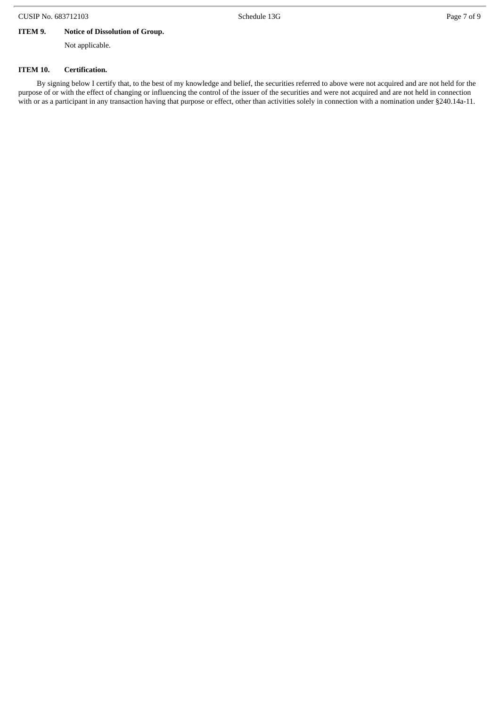## **ITEM 9. Notice of Dissolution of Group.**

Not applicable.

#### **ITEM 10. Certification.**

By signing below I certify that, to the best of my knowledge and belief, the securities referred to above were not acquired and are not held for the purpose of or with the effect of changing or influencing the control of the issuer of the securities and were not acquired and are not held in connection with or as a participant in any transaction having that purpose or effect, other than activities solely in connection with a nomination under §240.14a-11.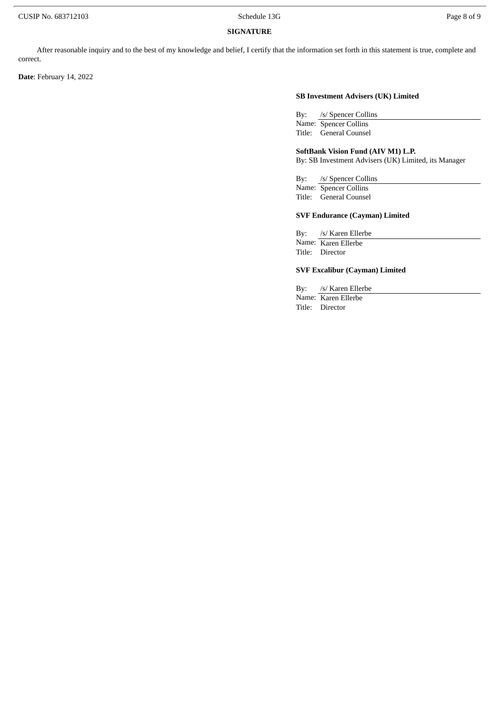## **SIGNATURE**

After reasonable inquiry and to the best of my knowledge and belief, I certify that the information set forth in this statement is true, complete and correct.

**Date**: February 14, 2022

#### **SB Investment Advisers (UK) Limited**

By: /s/ Spencer Collins Name: Spencer Collins Title: General Counsel

#### **SoftBank Vision Fund (AIV M1) L.P.**

By: SB Investment Advisers (UK) Limited, its Manager

By: /s/ Spencer Collins Name: Spencer Collins

# Title: General Counsel

## **SVF Endurance (Cayman) Limited**

By: /s/ Karen Ellerbe Name: Karen Ellerbe Title: Director

### **SVF Excalibur (Cayman) Limited**

By: /s/ Karen Ellerbe Name: Karen Ellerbe

Title: Director